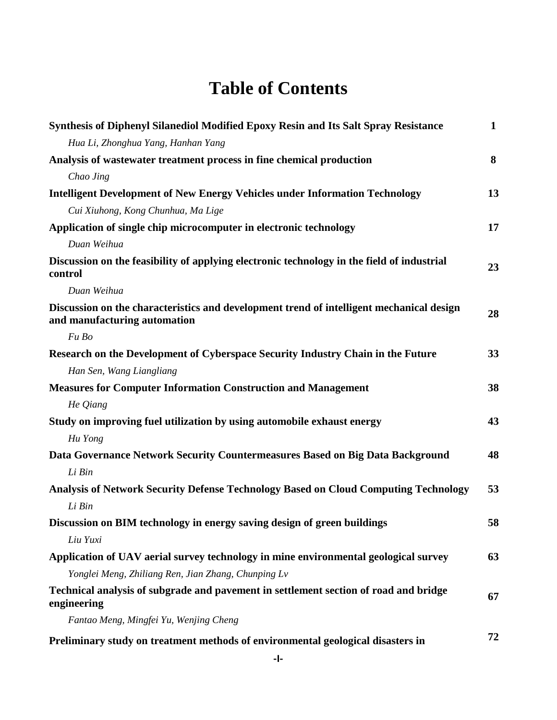## **Table of Contents**

| Synthesis of Diphenyl Silanediol Modified Epoxy Resin and Its Salt Spray Resistance                                      | $\mathbf{1}$ |
|--------------------------------------------------------------------------------------------------------------------------|--------------|
| Hua Li, Zhonghua Yang, Hanhan Yang                                                                                       |              |
| Analysis of was tewater treatment process in fine chemical production                                                    | 8            |
| Chao Jing                                                                                                                |              |
| <b>Intelligent Development of New Energy Vehicles under Information Technology</b>                                       | 13           |
| Cui Xiuhong, Kong Chunhua, Ma Lige                                                                                       |              |
| Application of single chip microcomputer in electronic technology                                                        | 17           |
| Duan Weihua                                                                                                              |              |
| Discussion on the feasibility of applying electronic technology in the field of industrial<br>control                    | 23           |
| Duan Weihua                                                                                                              |              |
| Discussion on the characteristics and development trend of intelligent mechanical design<br>and manufacturing automation | 28           |
| Fu Bo                                                                                                                    |              |
| Research on the Development of Cyberspace Security Industry Chain in the Future                                          | 33           |
| Han Sen, Wang Liangliang                                                                                                 |              |
| <b>Measures for Computer Information Construction and Management</b>                                                     | 38           |
| He Qiang                                                                                                                 |              |
| Study on improving fuel utilization by using automobile exhaust energy                                                   | 43           |
| Hu Yong                                                                                                                  |              |
| Data Governance Network Security Countermeasures Based on Big Data Background                                            | 48           |
| Li Bin                                                                                                                   |              |
| Analysis of Network Security Defense Technology Based on Cloud Computing Technology                                      | 53           |
| Li Bin                                                                                                                   |              |
| Discussion on BIM technology in energy saving design of green buildings                                                  | 58           |
| Liu Yuxi                                                                                                                 |              |
| Application of UAV aerial survey technology in mine environmental geological survey                                      | 63           |
| Yonglei Meng, Zhiliang Ren, Jian Zhang, Chunping Lv                                                                      |              |
| Technical analysis of subgrade and pavement in settlement section of road and bridge<br>engineering                      | 67           |
| Fantao Meng, Mingfei Yu, Wenjing Cheng                                                                                   |              |
| Preliminary study on treatment methods of environmental geological disasters in                                          | 72           |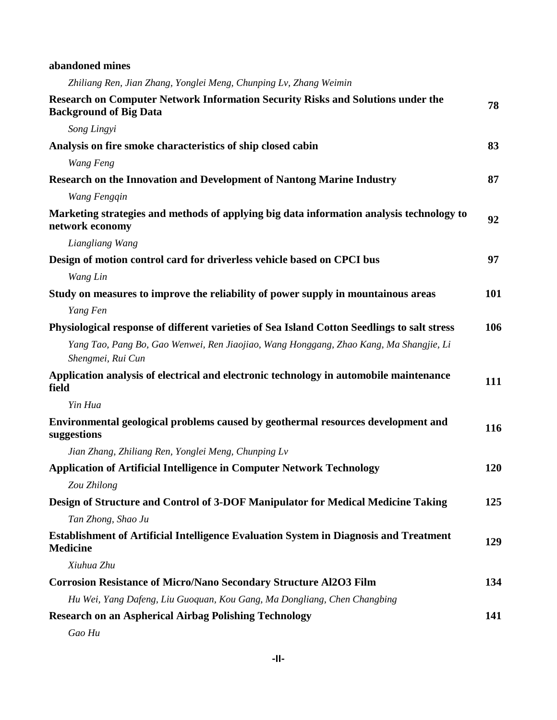| abandoned mines |  |
|-----------------|--|
|-----------------|--|

*Zhiliang Ren, Jian Zhang, Yonglei Meng, Chunping Lv, Zhang Weimin*

| Research on Computer Network Information Security Risks and Solutions under the<br><b>Background of Big Data</b> | 78         |
|------------------------------------------------------------------------------------------------------------------|------------|
| Song Lingyi                                                                                                      |            |
| Analysis on fire smoke characteristics of ship closed cabin                                                      | 83         |
| Wang Feng                                                                                                        |            |
| <b>Research on the Innovation and Development of Nantong Marine Industry</b>                                     | 87         |
| Wang Fengqin                                                                                                     |            |
| Marketing strategies and methods of applying big data information analysis technology to<br>network economy      | 92         |
| Liangliang Wang                                                                                                  |            |
| Design of motion control card for driverless vehicle based on CPCI bus                                           | 97         |
| Wang Lin                                                                                                         |            |
| Study on measures to improve the reliability of power supply in mountainous areas                                | <b>101</b> |
| Yang Fen                                                                                                         |            |
| Physiological response of different varieties of Sea Island Cotton Seedlings to salt stress                      | 106        |
| Yang Tao, Pang Bo, Gao Wenwei, Ren Jiaojiao, Wang Honggang, Zhao Kang, Ma Shangjie, Li<br>Shengmei, Rui Cun      |            |
| Application analysis of electrical and electronic technology in automobile maintenance<br>field                  | 111        |
| Yin Hua                                                                                                          |            |
| Environmental geological problems caused by geothermal resources development and<br>suggestions                  | 116        |
| Jian Zhang, Zhiliang Ren, Yonglei Meng, Chunping Lv                                                              |            |
| <b>Application of Artificial Intelligence in Computer Network Technology</b>                                     | 120        |
| Zou Zhilong                                                                                                      |            |
| Design of Structure and Control of 3-DOF Manipulator for Medical Medicine Taking                                 | 125        |
| Tan Zhong, Shao Ju                                                                                               |            |
| <b>Establishment of Artificial Intelligence Evaluation System in Diagnosis and Treatment</b><br><b>Medicine</b>  | 129        |
| Xiuhua Zhu                                                                                                       |            |
| <b>Corrosion Resistance of Micro/Nano Secondary Structure Al2O3 Film</b>                                         | 134        |
| Hu Wei, Yang Dafeng, Liu Guoquan, Kou Gang, Ma Dongliang, Chen Changbing                                         |            |
| <b>Research on an Aspherical Airbag Polishing Technology</b>                                                     | 141        |

*Gao Hu*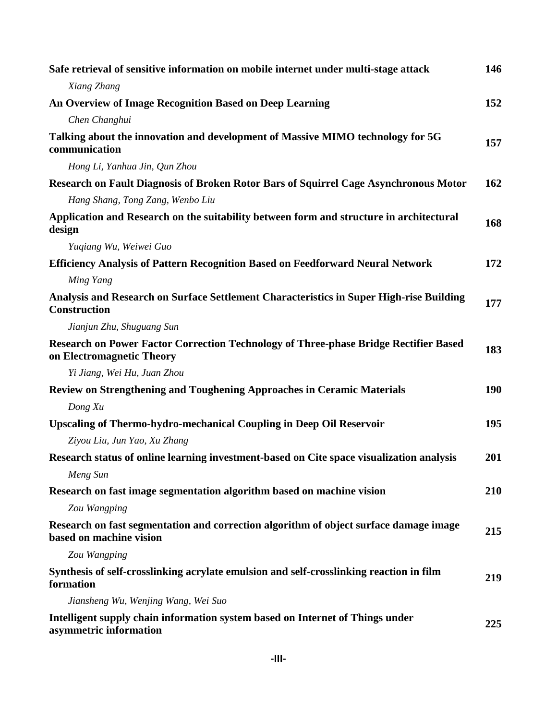| Safe retrieval of sensitive information on mobile internet under multi-stage attack                               | 146 |
|-------------------------------------------------------------------------------------------------------------------|-----|
| Xiang Zhang                                                                                                       |     |
| An Overview of Image Recognition Based on Deep Learning                                                           | 152 |
| Chen Changhui                                                                                                     |     |
| Talking about the innovation and development of Massive MIMO technology for 5G<br>communication                   | 157 |
| Hong Li, Yanhua Jin, Qun Zhou                                                                                     |     |
| Research on Fault Diagnosis of Broken Rotor Bars of Squirrel Cage Asynchronous Motor                              | 162 |
| Hang Shang, Tong Zang, Wenbo Liu                                                                                  |     |
| Application and Research on the suitability between form and structure in architectural<br>design                 | 168 |
| Yuqiang Wu, Weiwei Guo                                                                                            |     |
| <b>Efficiency Analysis of Pattern Recognition Based on Feedforward Neural Network</b>                             | 172 |
| Ming Yang                                                                                                         |     |
| Analysis and Research on Surface Settlement Characteristics in Super High-rise Building<br><b>Construction</b>    | 177 |
| Jianjun Zhu, Shuguang Sun                                                                                         |     |
| Research on Power Factor Correction Technology of Three-phase Bridge Rectifier Based<br>on Electromagnetic Theory | 183 |
| Yi Jiang, Wei Hu, Juan Zhou                                                                                       |     |
| <b>Review on Strengthening and Toughening Approaches in Ceramic Materials</b>                                     | 190 |
| Dong Xu                                                                                                           |     |
| <b>Upscaling of Thermo-hydro-mechanical Coupling in Deep Oil Reservoir</b>                                        | 195 |
| Ziyou Liu, Jun Yao, Xu Zhang                                                                                      |     |
| Research status of online learning investment-based on Cite space visualization analysis                          | 201 |
| Meng Sun                                                                                                          |     |
| Research on fast image segmentation algorithm based on machine vision                                             | 210 |
| Zou Wangping                                                                                                      |     |
| Research on fast segmentation and correction algorithm of object surface damage image<br>based on machine vision  | 215 |
| Zou Wangping                                                                                                      |     |
| Synthesis of self-crosslinking acrylate emulsion and self-crosslinking reaction in film<br>formation              | 219 |
| Jiansheng Wu, Wenjing Wang, Wei Suo                                                                               |     |
| Intelligent supply chain information system based on Internet of Things under<br>asymmetric information           | 225 |